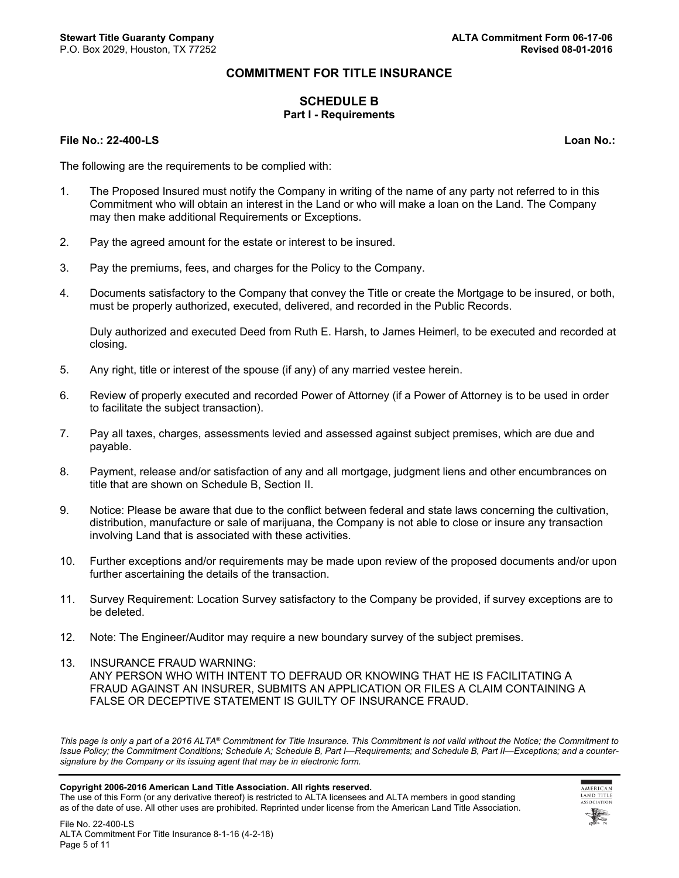## **COMMITMENT FOR TITLE INSURANCE**

### **SCHEDULE B Part I - Requirements**

#### **File No.: 22-400-LS Loan No.:**

The following are the requirements to be complied with:

- 1. The Proposed Insured must notify the Company in writing of the name of any party not referred to in this Commitment who will obtain an interest in the Land or who will make a loan on the Land. The Company may then make additional Requirements or Exceptions.
- 2. Pay the agreed amount for the estate or interest to be insured.
- 3. Pay the premiums, fees, and charges for the Policy to the Company.
- 4. Documents satisfactory to the Company that convey the Title or create the Mortgage to be insured, or both, must be properly authorized, executed, delivered, and recorded in the Public Records.

Duly authorized and executed Deed from Ruth E. Harsh, to James Heimerl, to be executed and recorded at closing.

- 5. Any right, title or interest of the spouse (if any) of any married vestee herein.
- 6. Review of properly executed and recorded Power of Attorney (if a Power of Attorney is to be used in order to facilitate the subject transaction).
- 7. Pay all taxes, charges, assessments levied and assessed against subject premises, which are due and payable.
- 8. Payment, release and/or satisfaction of any and all mortgage, judgment liens and other encumbrances on title that are shown on Schedule B, Section II.
- 9. Notice: Please be aware that due to the conflict between federal and state laws concerning the cultivation, distribution, manufacture or sale of marijuana, the Company is not able to close or insure any transaction involving Land that is associated with these activities.
- 10. Further exceptions and/or requirements may be made upon review of the proposed documents and/or upon further ascertaining the details of the transaction.
- 11. Survey Requirement: Location Survey satisfactory to the Company be provided, if survey exceptions are to be deleted.
- 12. Note: The Engineer/Auditor may require a new boundary survey of the subject premises.
- 13. INSURANCE FRAUD WARNING: ANY PERSON WHO WITH INTENT TO DEFRAUD OR KNOWING THAT HE IS FACILITATING A FRAUD AGAINST AN INSURER, SUBMITS AN APPLICATION OR FILES A CLAIM CONTAINING A FALSE OR DECEPTIVE STATEMENT IS GUILTY OF INSURANCE FRAUD.

*This page is only a part of a 2016 ALTA® Commitment for Title Insurance. This Commitment is not valid without the Notice; the Commitment to Issue Policy; the Commitment Conditions; Schedule A; Schedule B, Part I—Requirements; and Schedule B, Part II—Exceptions; and a countersignature by the Company or its issuing agent that may be in electronic form.*

#### **Copyright 2006-2016 American Land Title Association. All rights reserved.**

The use of this Form (or any derivative thereof) is restricted to ALTA licensees and ALTA members in good standing as of the date of use. All other uses are prohibited. Reprinted under license from the American Land Title Association.

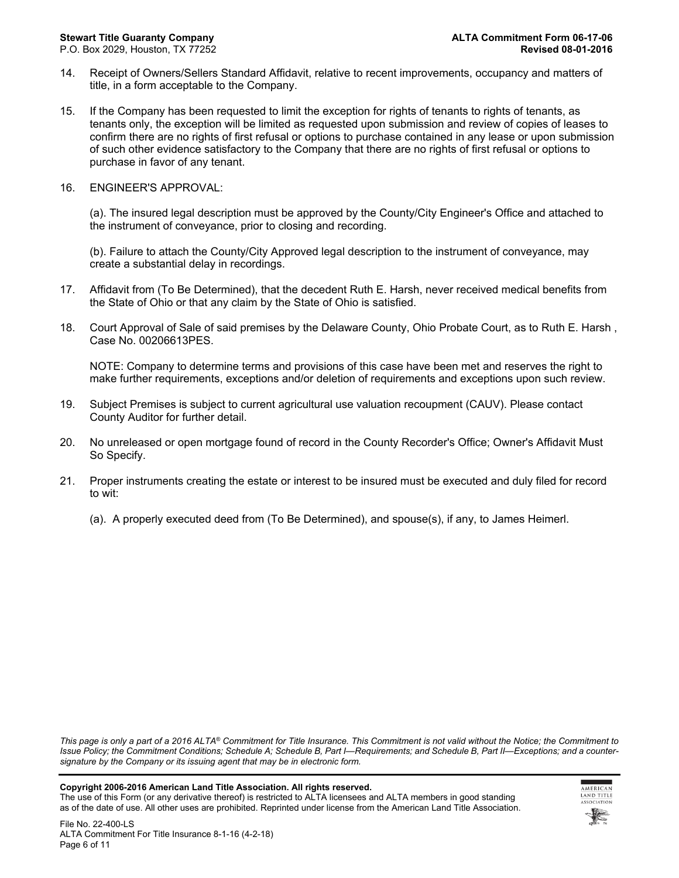- 14. Receipt of Owners/Sellers Standard Affidavit, relative to recent improvements, occupancy and matters of title, in a form acceptable to the Company.
- 15. If the Company has been requested to limit the exception for rights of tenants to rights of tenants, as tenants only, the exception will be limited as requested upon submission and review of copies of leases to confirm there are no rights of first refusal or options to purchase contained in any lease or upon submission of such other evidence satisfactory to the Company that there are no rights of first refusal or options to purchase in favor of any tenant.
- 16. ENGINEER'S APPROVAL:

(a). The insured legal description must be approved by the County/City Engineer's Office and attached to the instrument of conveyance, prior to closing and recording.

(b). Failure to attach the County/City Approved legal description to the instrument of conveyance, may create a substantial delay in recordings.

- 17. Affidavit from (To Be Determined), that the decedent Ruth E. Harsh, never received medical benefits from the State of Ohio or that any claim by the State of Ohio is satisfied.
- 18. Court Approval of Sale of said premises by the Delaware County, Ohio Probate Court, as to Ruth E. Harsh , Case No. 00206613PES.

NOTE: Company to determine terms and provisions of this case have been met and reserves the right to make further requirements, exceptions and/or deletion of requirements and exceptions upon such review.

- 19. Subject Premises is subject to current agricultural use valuation recoupment (CAUV). Please contact County Auditor for further detail.
- 20. No unreleased or open mortgage found of record in the County Recorder's Office; Owner's Affidavit Must So Specify.
- 21. Proper instruments creating the estate or interest to be insured must be executed and duly filed for record to wit:
	- (a). A properly executed deed from (To Be Determined), and spouse(s), if any, to James Heimerl.

*This page is only a part of a 2016 ALTA® Commitment for Title Insurance. This Commitment is not valid without the Notice; the Commitment to Issue Policy; the Commitment Conditions; Schedule A; Schedule B, Part I—Requirements; and Schedule B, Part II—Exceptions; and a countersignature by the Company or its issuing agent that may be in electronic form.*

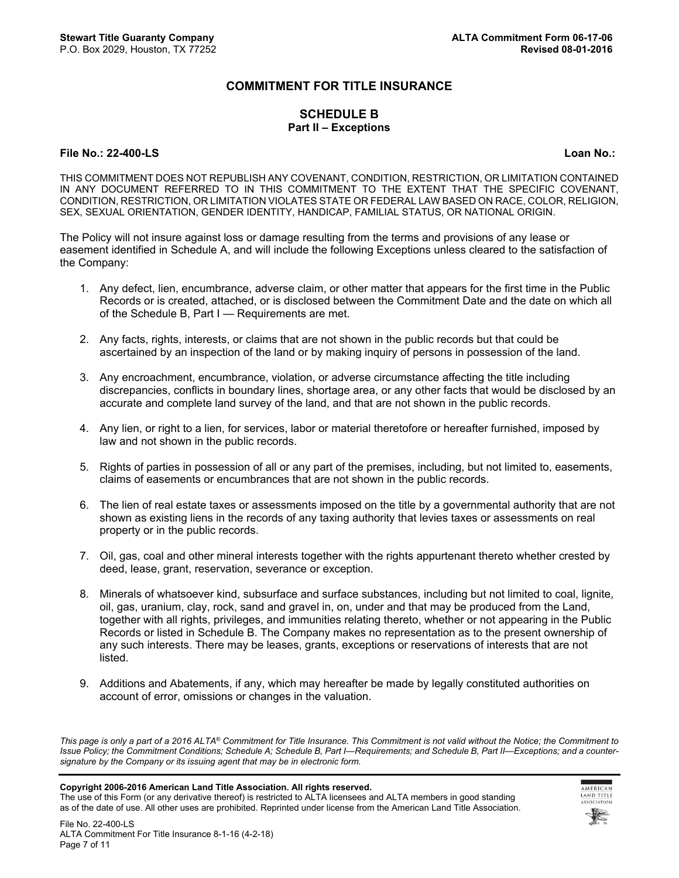## **COMMITMENT FOR TITLE INSURANCE**

### **SCHEDULE B Part II – Exceptions**

#### **File No.: 22-400-LS Loan No.:**

THIS COMMITMENT DOES NOT REPUBLISH ANY COVENANT, CONDITION, RESTRICTION, OR LIMITATION CONTAINED IN ANY DOCUMENT REFERRED TO IN THIS COMMITMENT TO THE EXTENT THAT THE SPECIFIC COVENANT, CONDITION, RESTRICTION, OR LIMITATION VIOLATES STATE OR FEDERAL LAW BASED ON RACE, COLOR, RELIGION, SEX, SEXUAL ORIENTATION, GENDER IDENTITY, HANDICAP, FAMILIAL STATUS, OR NATIONAL ORIGIN.

The Policy will not insure against loss or damage resulting from the terms and provisions of any lease or easement identified in Schedule A, and will include the following Exceptions unless cleared to the satisfaction of the Company:

- 1. Any defect, lien, encumbrance, adverse claim, or other matter that appears for the first time in the Public Records or is created, attached, or is disclosed between the Commitment Date and the date on which all of the Schedule B, Part I — Requirements are met.
- 2. Any facts, rights, interests, or claims that are not shown in the public records but that could be ascertained by an inspection of the land or by making inquiry of persons in possession of the land.
- 3. Any encroachment, encumbrance, violation, or adverse circumstance affecting the title including discrepancies, conflicts in boundary lines, shortage area, or any other facts that would be disclosed by an accurate and complete land survey of the land, and that are not shown in the public records.
- 4. Any lien, or right to a lien, for services, labor or material theretofore or hereafter furnished, imposed by law and not shown in the public records.
- 5. Rights of parties in possession of all or any part of the premises, including, but not limited to, easements, claims of easements or encumbrances that are not shown in the public records.
- 6. The lien of real estate taxes or assessments imposed on the title by a governmental authority that are not shown as existing liens in the records of any taxing authority that levies taxes or assessments on real property or in the public records.
- 7. Oil, gas, coal and other mineral interests together with the rights appurtenant thereto whether crested by deed, lease, grant, reservation, severance or exception.
- 8. Minerals of whatsoever kind, subsurface and surface substances, including but not limited to coal, lignite, oil, gas, uranium, clay, rock, sand and gravel in, on, under and that may be produced from the Land, together with all rights, privileges, and immunities relating thereto, whether or not appearing in the Public Records or listed in Schedule B. The Company makes no representation as to the present ownership of any such interests. There may be leases, grants, exceptions or reservations of interests that are not listed.
- 9. Additions and Abatements, if any, which may hereafter be made by legally constituted authorities on account of error, omissions or changes in the valuation.

*This page is only a part of a 2016 ALTA® Commitment for Title Insurance. This Commitment is not valid without the Notice; the Commitment to Issue Policy; the Commitment Conditions; Schedule A; Schedule B, Part I—Requirements; and Schedule B, Part II—Exceptions; and a countersignature by the Company or its issuing agent that may be in electronic form.*

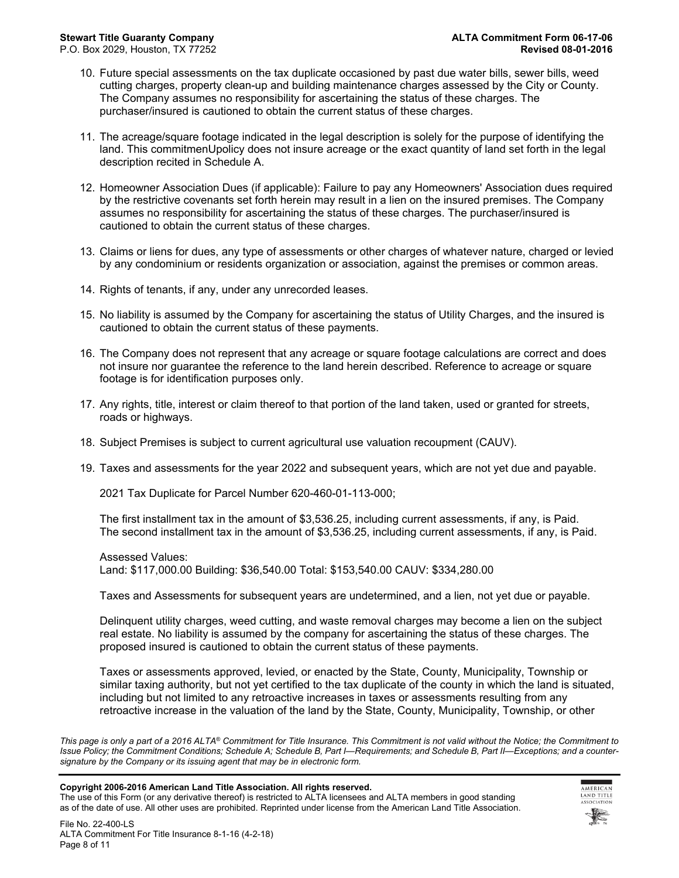- 10. Future special assessments on the tax duplicate occasioned by past due water bills, sewer bills, weed cutting charges, property clean-up and building maintenance charges assessed by the City or County. The Company assumes no responsibility for ascertaining the status of these charges. The purchaser/insured is cautioned to obtain the current status of these charges.
- 11. The acreage/square footage indicated in the legal description is solely for the purpose of identifying the land. This commitmenUpolicy does not insure acreage or the exact quantity of land set forth in the legal description recited in Schedule A.
- 12. Homeowner Association Dues (if applicable): Failure to pay any Homeowners' Association dues required by the restrictive covenants set forth herein may result in a lien on the insured premises. The Company assumes no responsibility for ascertaining the status of these charges. The purchaser/insured is cautioned to obtain the current status of these charges.
- 13. Claims or liens for dues, any type of assessments or other charges of whatever nature, charged or levied by any condominium or residents organization or association, against the premises or common areas.
- 14. Rights of tenants, if any, under any unrecorded leases.
- 15. No liability is assumed by the Company for ascertaining the status of Utility Charges, and the insured is cautioned to obtain the current status of these payments.
- 16. The Company does not represent that any acreage or square footage calculations are correct and does not insure nor guarantee the reference to the land herein described. Reference to acreage or square footage is for identification purposes only.
- 17. Any rights, title, interest or claim thereof to that portion of the land taken, used or granted for streets, roads or highways.
- 18. Subject Premises is subject to current agricultural use valuation recoupment (CAUV).
- 19. Taxes and assessments for the year 2022 and subsequent years, which are not yet due and payable.

2021 Tax Duplicate for Parcel Number 620-460-01-113-000;

The first installment tax in the amount of \$3,536.25, including current assessments, if any, is Paid. The second installment tax in the amount of \$3,536.25, including current assessments, if any, is Paid.

Assessed Values:

Land: \$117,000.00 Building: \$36,540.00 Total: \$153,540.00 CAUV: \$334,280.00

Taxes and Assessments for subsequent years are undetermined, and a lien, not yet due or payable.

Delinquent utility charges, weed cutting, and waste removal charges may become a lien on the subject real estate. No liability is assumed by the company for ascertaining the status of these charges. The proposed insured is cautioned to obtain the current status of these payments.

Taxes or assessments approved, levied, or enacted by the State, County, Municipality, Township or similar taxing authority, but not yet certified to the tax duplicate of the county in which the land is situated, including but not limited to any retroactive increases in taxes or assessments resulting from any retroactive increase in the valuation of the land by the State, County, Municipality, Township, or other

*This page is only a part of a 2016 ALTA® Commitment for Title Insurance. This Commitment is not valid without the Notice; the Commitment to Issue Policy; the Commitment Conditions; Schedule A; Schedule B, Part I—Requirements; and Schedule B, Part II—Exceptions; and a countersignature by the Company or its issuing agent that may be in electronic form.*

#### **Copyright 2006-2016 American Land Title Association. All rights reserved.**

The use of this Form (or any derivative thereof) is restricted to ALTA licensees and ALTA members in good standing as of the date of use. All other uses are prohibited. Reprinted under license from the American Land Title Association.

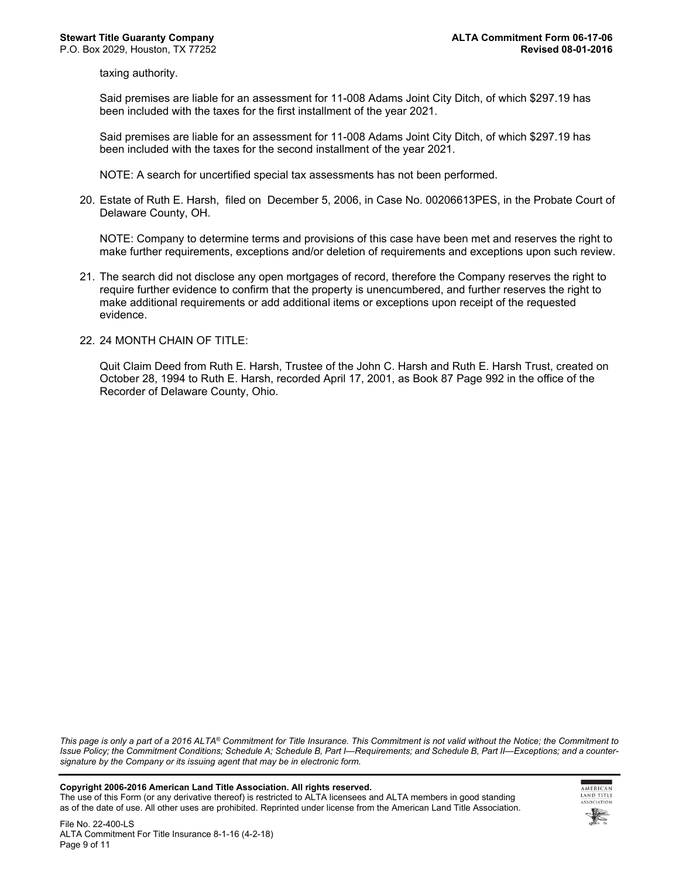taxing authority.

Said premises are liable for an assessment for 11-008 Adams Joint City Ditch, of which \$297.19 has been included with the taxes for the first installment of the year 2021.

Said premises are liable for an assessment for 11-008 Adams Joint City Ditch, of which \$297.19 has been included with the taxes for the second installment of the year 2021.

NOTE: A search for uncertified special tax assessments has not been performed.

20. Estate of Ruth E. Harsh, filed on December 5, 2006, in Case No. 00206613PES, in the Probate Court of Delaware County, OH.

NOTE: Company to determine terms and provisions of this case have been met and reserves the right to make further requirements, exceptions and/or deletion of requirements and exceptions upon such review.

- 21. The search did not disclose any open mortgages of record, therefore the Company reserves the right to require further evidence to confirm that the property is unencumbered, and further reserves the right to make additional requirements or add additional items or exceptions upon receipt of the requested evidence.
- 22. 24 MONTH CHAIN OF TITLE:

Quit Claim Deed from Ruth E. Harsh, Trustee of the John C. Harsh and Ruth E. Harsh Trust, created on October 28, 1994 to Ruth E. Harsh, recorded April 17, 2001, as Book 87 Page 992 in the office of the Recorder of Delaware County, Ohio.

*This page is only a part of a 2016 ALTA® Commitment for Title Insurance. This Commitment is not valid without the Notice; the Commitment to Issue Policy; the Commitment Conditions; Schedule A; Schedule B, Part I—Requirements; and Schedule B, Part II—Exceptions; and a countersignature by the Company or its issuing agent that may be in electronic form.*

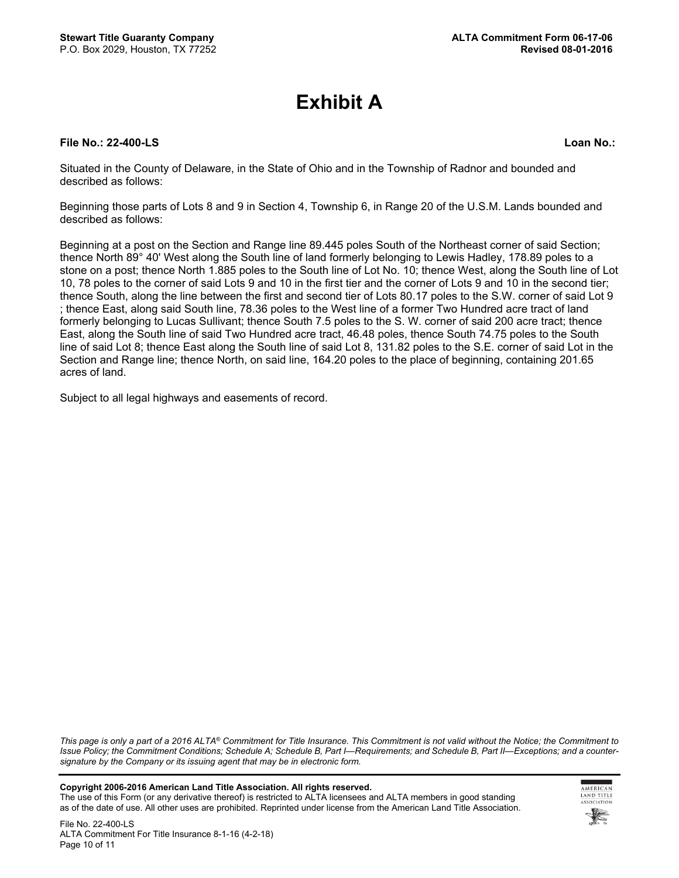# **Exhibit A**

#### **File No.: 22-400-LS Loan No.:**

Situated in the County of Delaware, in the State of Ohio and in the Township of Radnor and bounded and described as follows:

Beginning those parts of Lots 8 and 9 in Section 4, Township 6, in Range 20 of the U.S.M. Lands bounded and described as follows:

Beginning at a post on the Section and Range line 89.445 poles South of the Northeast corner of said Section; thence North 89° 40' West along the South line of land formerly belonging to Lewis Hadley, 178.89 poles to a stone on a post; thence North 1.885 poles to the South line of Lot No. 10; thence West, along the South line of Lot 10, 78 poles to the corner of said Lots 9 and 10 in the first tier and the corner of Lots 9 and 10 in the second tier; thence South, along the line between the first and second tier of Lots 80.17 poles to the S.W. corner of said Lot 9 ; thence East, along said South line, 78.36 poles to the West line of a former Two Hundred acre tract of land formerly belonging to Lucas Sullivant; thence South 7.5 poles to the S. W. corner of said 200 acre tract; thence East, along the South line of said Two Hundred acre tract, 46.48 poles, thence South 74.75 poles to the South line of said Lot 8; thence East along the South line of said Lot 8, 131.82 poles to the S.E. corner of said Lot in the Section and Range line; thence North, on said line, 164.20 poles to the place of beginning, containing 201.65 acres of land.

Subject to all legal highways and easements of record.

*This page is only a part of a 2016 ALTA® Commitment for Title Insurance. This Commitment is not valid without the Notice; the Commitment to Issue Policy; the Commitment Conditions; Schedule A; Schedule B, Part I—Requirements; and Schedule B, Part II—Exceptions; and a countersignature by the Company or its issuing agent that may be in electronic form.*